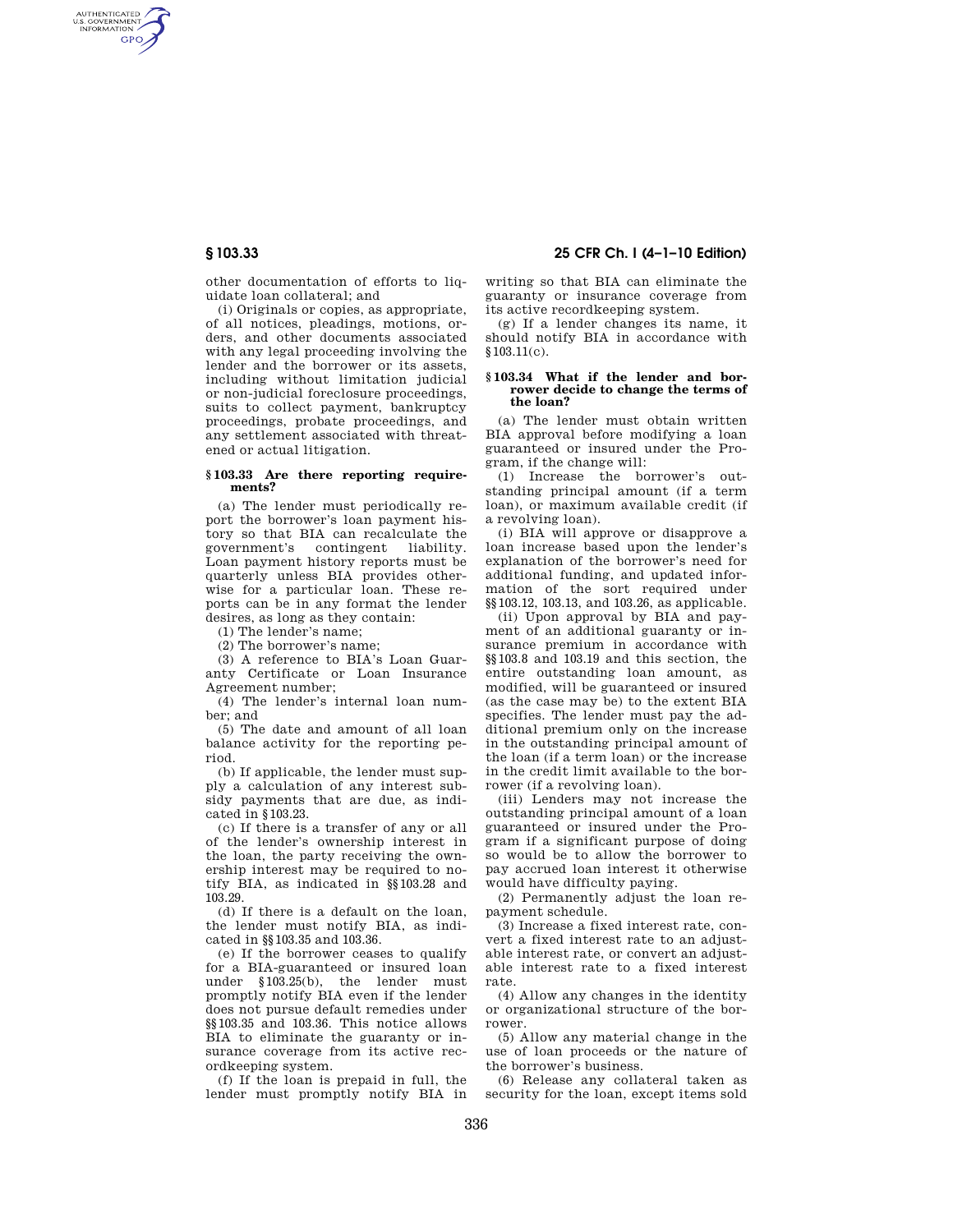AUTHENTICATED<br>U.S. GOVERNMENT<br>INFORMATION **GPO** 

> other documentation of efforts to liquidate loan collateral; and

> (i) Originals or copies, as appropriate, of all notices, pleadings, motions, orders, and other documents associated with any legal proceeding involving the lender and the borrower or its assets, including without limitation judicial or non-judicial foreclosure proceedings, suits to collect payment, bankruptcy proceedings, probate proceedings, and any settlement associated with threatened or actual litigation.

### **§ 103.33 Are there reporting requirements?**

(a) The lender must periodically report the borrower's loan payment history so that BIA can recalculate the government's contingent liability. Loan payment history reports must be quarterly unless BIA provides otherwise for a particular loan. These reports can be in any format the lender desires, as long as they contain:

(1) The lender's name;

(2) The borrower's name;

(3) A reference to BIA's Loan Guaranty Certificate or Loan Insurance Agreement number;

(4) The lender's internal loan number; and

(5) The date and amount of all loan balance activity for the reporting period.

(b) If applicable, the lender must supply a calculation of any interest subsidy payments that are due, as indicated in §103.23.

(c) If there is a transfer of any or all of the lender's ownership interest in the loan, the party receiving the ownership interest may be required to notify BIA, as indicated in §§103.28 and 103.29.

(d) If there is a default on the loan, the lender must notify BIA, as indicated in §§103.35 and 103.36.

(e) If the borrower ceases to qualify for a BIA-guaranteed or insured loan under §103.25(b), the lender must promptly notify BIA even if the lender does not pursue default remedies under §§103.35 and 103.36. This notice allows BIA to eliminate the guaranty or insurance coverage from its active recordkeeping system.

(f) If the loan is prepaid in full, the lender must promptly notify BIA in

# **§ 103.33 25 CFR Ch. I (4–1–10 Edition)**

writing so that BIA can eliminate the guaranty or insurance coverage from its active recordkeeping system.

(g) If a lender changes its name, it should notify BIA in accordance with §103.11(c).

#### **§ 103.34 What if the lender and borrower decide to change the terms of the loan?**

(a) The lender must obtain written BIA approval before modifying a loan guaranteed or insured under the Program, if the change will:

(1) Increase the borrower's outstanding principal amount (if a term loan), or maximum available credit (if a revolving loan).

(i) BIA will approve or disapprove a loan increase based upon the lender's explanation of the borrower's need for additional funding, and updated information of the sort required under §§103.12, 103.13, and 103.26, as applicable.

(ii) Upon approval by BIA and payment of an additional guaranty or insurance premium in accordance with §§103.8 and 103.19 and this section, the entire outstanding loan amount, as modified, will be guaranteed or insured (as the case may be) to the extent BIA specifies. The lender must pay the additional premium only on the increase in the outstanding principal amount of the loan (if a term loan) or the increase in the credit limit available to the borrower (if a revolving loan).

(iii) Lenders may not increase the outstanding principal amount of a loan guaranteed or insured under the Program if a significant purpose of doing so would be to allow the borrower to pay accrued loan interest it otherwise would have difficulty paying.

(2) Permanently adjust the loan repayment schedule.

(3) Increase a fixed interest rate, convert a fixed interest rate to an adjustable interest rate, or convert an adjustable interest rate to a fixed interest rate.

(4) Allow any changes in the identity or organizational structure of the borrower.

(5) Allow any material change in the use of loan proceeds or the nature of the borrower's business.

(6) Release any collateral taken as security for the loan, except items sold